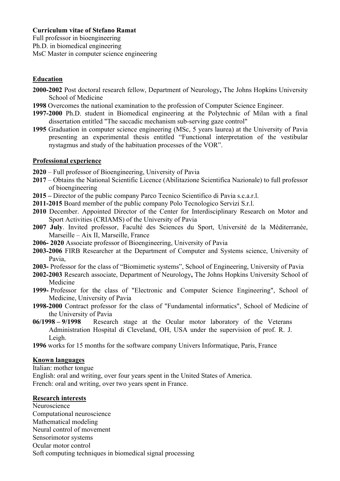# **Curriculum vitae of Stefano Ramat**

Full professor in bioengineering Ph.D. in biomedical engineering MsC Master in computer science engineering

# **Education**

- **2000-2002** Post doctoral research fellow, Department of Neurology**,** The Johns Hopkins University School of Medicine
- **1998** Overcomes the national examination to the profession of Computer Science Engineer.
- **1997-2000** Ph.D. student in Biomedical engineering at the Polytechnic of Milan with a final dissertation entitled "The saccadic mechanism sub-serving gaze control"
- **1995** Graduation in computer science engineering (MSc, 5 years laurea) at the University of Pavia presenting an experimental thesis entitled "Functional interpretation of the vestibular nystagmus and study of the habituation processes of the VOR".

## **Professional experience**

- **2020** Full professor of Bioengineering, University of Pavia
- **2017** Obtains the National Scientific Licence (Abilitazione Scientifica Nazionale) to full professor of bioengineering
- **2015 –** Director of the public company Parco Tecnico Scientifico di Pavia s.c.a.r.l.
- **2011-2015** Board member of the public company Polo Tecnologico Servizi S.r.l.
- **2010** December. Appointed Director of the Center for Interdisciplinary Research on Motor and Sport Activities (CRIAMS) of the University of Pavia
- **2007 July**. Invited professor, Faculté des Sciences du Sport, Université de la Méditerranée, Marseille – Aix II, Marseille, France
- **2006- 2020** Associate professor of Bioengineering, University of Pavia
- **2003-2006** FIRB Researcher at the Department of Computer and Systems science, University of Pavia,
- **2003-** Professor for the class of "Biomimetic systems", School of Engineering, University of Pavia
- **2002-2003** Research associate, Department of Neurology**,** The Johns Hopkins University School of Medicine
- **1999-** Professor for the class of "Electronic and Computer Science Engineering", School of Medicine, University of Pavia
- **1998-2000** Contract professor for the class of "Fundamental informatics", School of Medicine of the University of Pavia
- **06/1998 – 9/1998** Research stage at the Ocular motor laboratory of the Veterans Administration Hospital di Cleveland, OH, USA under the supervision of prof. R. J. Leigh.
- **1996** works for 15 months for the software company Univers Informatique, Paris, France

# **Known languages**

Italian: mother tongue

English: oral and writing, over four years spent in the United States of America. French: oral and writing, over two years spent in France.

#### **Research interests**

Neuroscience Computational neuroscience Mathematical modeling Neural control of movement Sensorimotor systems Ocular motor control Soft computing techniques in biomedical signal processing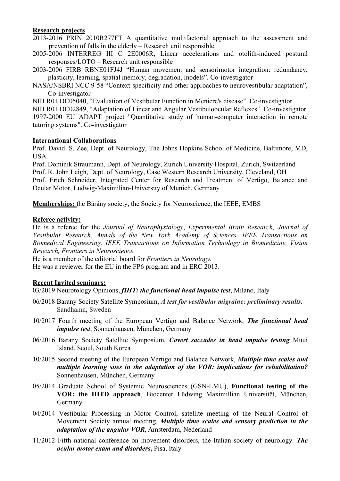### **Research projects**

2013-2016 PRIN 2010R277FT A quantitative multifactorial approach to the assessment and prevention of falls in the elderly – Research unit responsible.

- 2005-2006 INTERREG III C 2E0006R, Linear accelerations and otolith-induced postural responses/LOTO – Research unit responsible
- 2003-2006 FIRB RBNE01FJ4J "Human movement and sensorimotor integration: redundancy, plasticity, learning, spatial memory, degradation, models". Co-investigator
- NASA/NSBRI NCC 9-58 "Context-specificity and other approaches to neurovestibular adaptation", Co-investigator

NIH R01 DC05040, "Evaluation of Vestibular Function in Meniere's disease". Co-investigator

NIH R01 DC02849, "Adaptation of Linear and Angular Vestibuloocular Reflexes". Co-investigator 1997-2000 EU ADAPT project "Quantitative study of human-computer interaction in remote tutoring systems". Co-investigator

#### **International Collaborations**

Prof. David. S. Zee, Dept. of Neurology, The Johns Hopkins School of Medicine, Baltimore, MD, USA.

Prof. Dominik Straumann, Dept. of Neurology, Zurich University Hospital, Zurich, Switzerland Prof. R. John Leigh, Dept. of Neurology, Case Western Research University, Cleveland, OH Prof. Erich Schneider, Integrated Center for Research and Treatment of Vertigo, Balance and Ocular Motor, Ludwig-Maximilian-University of Munich, Germany

**Memberships:** the Bárány society, the Society for Neuroscience, the IEEE, EMBS

## **Referee activity:**

He is a referee for the *Journal of Neurophysiology*, *Experimental Brain Research, Journal of Vestibular Research, Annals of the New York Academy of Sciences, IEEE Transactions on Biomedical Engineering, IEEE Transactions on Information Technology in Biomedicine, Vision Research, Frontiers in Neuroscience.*

He is a member of the editorial board for *Frontiers in Neurology.* He was a reviewer for the EU in the FP6 program and in ERC 2013.

# **Recent Invited seminars:**

03/2019 Neurotology Opinions, *fHIT: the functional head impulse test*, Milano, Italy

- 06/2018 Barany Society Satellite Symposium, *A test for vestibular migraine: preliminary results.* Sandhamn, Sweden
- 10/2017 Fourth meeting of the European Vertigo and Balance Network, *The functional head impulse test*, Sonnenhausen, München, Germany
- 06/2016 Barany Society Satellite Symposium, *Covert saccades in head impulse testing* Muui Island, Seoul, South Korea
- 10/2015 Second meeting of the European Vertigo and Balance Network, *Multiple time scales and multiple learning sites in the adaptation of the VOR: implications for rehabilitation?* Sonnenhausen, München, Germany
- 05/2014 Graduate School of Systemic Neurosciences (GSN-LMU), **Functional testing of the VOR: the HITD approach**, Biocenter Lüdwing Maximillian Universitët, München, Germany
- 04/2014 Vestibular Processing in Motor Control, satellite meeting of the Neural Control of Movement Society annual meeting, *Multiple time scales and sensory prediction in the adaptation of the angular VOR*, Amsterdam, Nederland
- 11/2012 Fifth national conference on movement disorders, the Italian society of neurology. *The ocular motor exam and disorders***,** Pisa, Italy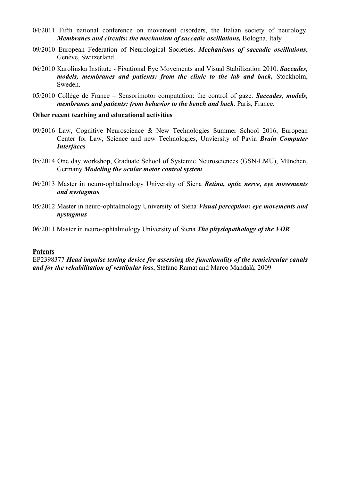- 04/2011 Fifth national conference on movement disorders, the Italian society of neurology. *Membranes and circuits: the mechanism of saccadic oscillations, Bologna, Italy*
- 09/2010 European Federation of Neurological Societies. *Mechanisms of saccadic oscillations*, Genève, Switzerland
- 06/2010 Karolinska Institute Fixational Eye Movements and Visual Stabilization 2010. *Saccades, models, membranes and patients: from the clinic to the lab and back,* Stockholm, Sweden.
- 05/2010 Collège de France Sensorimotor computation: the control of gaze. *Saccades, models, membranes and patients: from behavior to the bench and back. Paris, France.*

#### **Other recent teaching and educational activities**

- 09/2016 Law, Cognitive Neuroscience & New Technologies Summer School 2016, European Center for Law, Science and new Technologies, Unviersity of Pavia *Brain Computer Interfaces*
- 05/2014 One day workshop, Graduate School of Systemic Neurosciences (GSN-LMU), München, Germany *Modeling the ocular motor control system*
- 06/2013 Master in neuro-ophtalmology University of Siena *Retina, optic nerve, eye movements and nystagmus*
- 05/2012 Master in neuro-ophtalmology University of Siena *Visual perception: eye movements and nystagmus*
- 06/2011 Master in neuro-ophtalmology University of Siena *The physiopathology of the VOR*

#### **Patents**

EP2398377 *Head impulse testing device for assessing the functionality of the semicircular canals and for the rehabilitation of vestibular loss*, Stefano Ramat and Marco Mandalà, 2009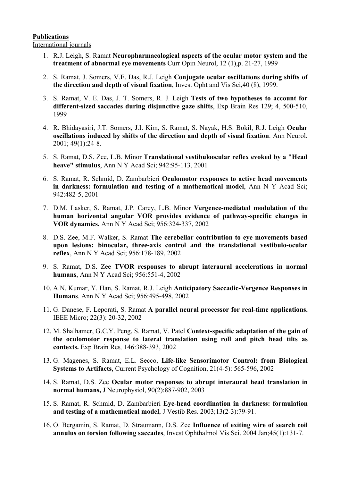#### **Publications** International journals

- 1. R.J. Leigh, S. Ramat **Neuropharmacological aspects of the ocular motor system and the treatment of abnormal eye movements** Curr Opin Neurol, 12 (1),p. 21-27, 1999
- 2. S. Ramat, J. Somers, V.E. Das, R.J. Leigh **Conjugate ocular oscillations during shifts of the direction and depth of visual fixation**, Invest Opht and Vis Sci,40 (8), 1999.
- 3. S. Ramat, V. E. Das, J. T. Somers, R. J. Leigh **Tests of two hypotheses to account for different-sized saccades during disjunctive gaze shifts**, Exp Brain Res 129; 4, 500-510, 1999
- 4. R. Bhidayasiri, J.T. Somers, J.I. Kim, S. Ramat, S. Nayak, H.S. Bokil, R.J. Leigh **Ocular oscillations induced by shifts of the direction and depth of visual fixation**. Ann Neurol. 2001; 49(1):24-8.
- 5. S. Ramat, D.S. Zee, L.B. Minor **Translational vestibuloocular reflex evoked by a "Head heave" stimulus**, Ann N Y Acad Sci; 942:95-113, 2001
- 6. S. Ramat, R. Schmid, D. Zambarbieri **Oculomotor responses to active head movements in darkness: formulation and testing of a mathematical model**, Ann N Y Acad Sci; 942:482-5, 2001
- 7. D.M. Lasker, S. Ramat, J.P. Carey, L.B. Minor **Vergence-mediated modulation of the human horizontal angular VOR provides evidence of pathway-specific changes in VOR dynamics,** Ann N Y Acad Sci; 956:324-337, 2002
- 8. D.S. Zee, M.F. Walker, S. Ramat **The cerebellar contribution to eye movements based upon lesions: binocular, three-axis control and the translational vestibulo-ocular reflex**, Ann N Y Acad Sci; 956:178-189, 2002
- 9. S. Ramat, D.S. Zee **TVOR responses to abrupt interaural accelerations in normal humans**, Ann N Y Acad Sci; 956:551-4, 2002
- 10. A.N. Kumar, Y. Han, S. Ramat, R.J. Leigh **Anticipatory Saccadic-Vergence Responses in Humans**. Ann N Y Acad Sci; 956:495-498, 2002
- 11. G. Danese, F. Leporati, S. Ramat **A parallel neural processor for real-time applications.** IEEE Micro; 22(3): 20-32, 2002
- 12. M. Shalhamer, G.C.Y. Peng, S. Ramat, V. Patel **Context-specific adaptation of the gain of the oculomotor response to lateral translation using roll and pitch head tilts as contexts.** Exp Brain Res*,* 146:388-393, 2002
- 13. G. Magenes, S. Ramat, E.L. Secco, **Life-like Sensorimotor Control: from Biological Systems to Artifacts**, Current Psychology of Cognition, 21(4-5): 565-596, 2002
- 14. S. Ramat, D.S. Zee **Ocular motor responses to abrupt interaural head translation in normal humans,** J Neurophysiol, 90(2):887-902, 2003
- 15. S. Ramat, R. Schmid, D. Zambarbieri **Eye-head coordination in darkness: formulation and testing of a mathematical model**, J Vestib Res. 2003;13(2-3):79-91.
- 16. O. Bergamin, S. Ramat, D. Straumann, D.S. Zee **Influence of exiting wire of search coil annulus on torsion following saccades**, Invest Ophthalmol Vis Sci. 2004 Jan;45(1):131-7.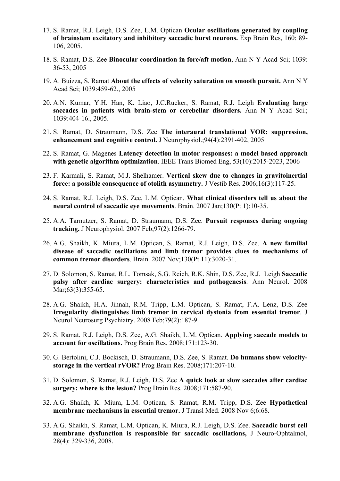- 17. S. Ramat, R.J. Leigh, D.S. Zee, L.M. Optican **Ocular oscillations generated by coupling of brainstem excitatory and inhibitory saccadic burst neurons.** Exp Brain Res, 160: 89- 106, 2005.
- 18. S. Ramat, D.S. Zee **Binocular coordination in fore/aft motion**, Ann N Y Acad Sci; 1039: 36-53, 2005
- 19. A. Buizza, S. Ramat **About the effects of velocity saturation on smooth pursuit.** Ann N Y Acad Sci; 1039:459-62., 2005
- 20. A.N. Kumar, Y.H. Han, K. Liao, J.C.Rucker, S. Ramat, R.J. Leigh **Evaluating large saccades in patients with brain-stem or cerebellar disorders.** Ann N Y Acad Sci.; 1039:404-16., 2005.
- 21. S. Ramat, D. Straumann, D.S. Zee **The interaural translational VOR: suppression, enhancement and cognitive control.** J Neurophysiol.;94(4):2391-402, 2005
- 22. S. Ramat, G. Magenes **Latency detection in motor responses: a model based approach with genetic algorithm optimization**. IEEE Trans Biomed Eng, 53(10):2015-2023, 2006
- 23. F. Karmali, S. Ramat, M.J. Shelhamer. **Vertical skew due to changes in gravitoinertial force: a possible consequence of otolith asymmetry.** J Vestib Res. 2006;16(3):117-25.
- 24. S. Ramat, R.J. Leigh, D.S. Zee, L.M. Optican. **What clinical disorders tell us about the neural control of saccadic eye movements**. Brain. 2007 Jan;130(Pt 1):10-35.
- 25. A.A. Tarnutzer, S. Ramat, D. Straumann, D.S. Zee. **Pursuit responses during ongoing tracking.** J Neurophysiol. 2007 Feb;97(2):1266-79.
- 26. A.G. Shaikh, K. Miura, L.M. Optican, S. Ramat, R.J. Leigh, D.S. Zee. **A new familial disease of saccadic oscillations and limb tremor provides clues to mechanisms of common tremor disorders**. Brain. 2007 Nov;130(Pt 11):3020-31.
- 27. D. Solomon, S. Ramat, R.L. Tomsak, S.G. Reich, R.K. Shin, D.S. Zee, R.J. Leigh **Saccadic palsy after cardiac surgery: characteristics and pathogenesis**. Ann Neurol. 2008 Mar; 63(3): 355-65.
- 28. A.G. Shaikh, H.A. Jinnah, R.M. Tripp, L.M. Optican, S. Ramat, F.A. Lenz, D.S. Zee **Irregularity distinguishes limb tremor in cervical dystonia from essential tremor**. J Neurol Neurosurg Psychiatry. 2008 Feb;79(2):187-9.
- 29. S. Ramat, R.J. Leigh, D.S. Zee, A.G. Shaikh, L.M. Optican. **Applying saccade models to account for oscillations.** Prog Brain Res. 2008;171:123-30.
- 30. G. Bertolini, C.J. Bockisch, D. Straumann, D.S. Zee, S. Ramat. **Do humans show velocitystorage in the vertical rVOR?** Prog Brain Res. 2008;171:207-10.
- 31. D. Solomon, S. Ramat, R.J. Leigh, D.S. Zee **A quick look at slow saccades after cardiac surgery: where is the lesion?** Prog Brain Res. 2008;171:587-90.
- 32. A.G. Shaikh, K. Miura, L.M. Optican, S. Ramat, R.M. Tripp, D.S. Zee **Hypothetical membrane mechanisms in essential tremor.** J Transl Med. 2008 Nov 6;6:68.
- 33. A.G. Shaikh, S. Ramat, L.M. Optican, K. Miura, R.J. Leigh, D.S. Zee. **Saccadic burst cell membrane dysfunction is responsible for saccadic oscillations,** J Neuro-Ophtalmol, 28(4): 329-336, 2008.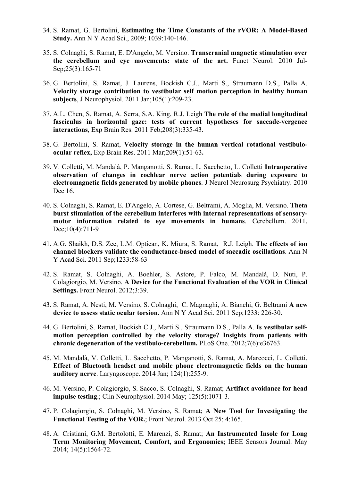- 34. S. Ramat, G. Bertolini, **Estimating the Time Constants of the rVOR: A Model-Based Study.** Ann N Y Acad Sci., 2009; 1039:140-146.
- 35. S. Colnaghi, S. Ramat, E. D'Angelo, M. Versino. **Transcranial magnetic stimulation over the cerebellum and eye movements: state of the art.** Funct Neurol. 2010 Jul-Sep;25(3):165-71
- 36. G. Bertolini, S. Ramat, J. Laurens, Bockish C.J., Marti S., Straumann D.S., Palla A. **Velocity storage contribution to vestibular self motion perception in healthy human subjects**, J Neurophysiol. 2011 Jan;105(1):209-23.
- 37. A.L. Chen, S. Ramat, A. Serra, S.A. King, R.J. Leigh **The role of the medial longitudinal fasciculus in horizontal gaze: tests of current hypotheses for saccade-vergence interactions**, Exp Brain Res. 2011 Feb;208(3):335-43.
- 38. G. Bertolini, S. Ramat, **Velocity storage in the human vertical rotational vestibuloocular reflex,** Exp Brain Res. 2011 Mar;209(1):51-63**.**
- 39. V. Colletti, M. Mandalà, P. Manganotti, S. Ramat, L. Sacchetto, L. Colletti **Intraoperative observation of changes in cochlear nerve action potentials during exposure to electromagnetic fields generated by mobile phones**. J Neurol Neurosurg Psychiatry. 2010 Dec 16.
- 40. S. Colnaghi, S. Ramat, E. D'Angelo, A. Cortese, G. Beltrami, A. Moglia, M. Versino. **Theta burst stimulation of the cerebellum interferes with internal representations of sensorymotor information related to eye movements in humans**. Cerebellum. 2011, Dec:10(4):711-9
- 41. A.G. Shaikh, D.S. Zee, L.M. Optican, K. Miura, S. Ramat, R.J. Leigh. **The effects of ion channel blockers validate the conductance-based model of saccadic oscillations**. Ann N Y Acad Sci. 2011 Sep;1233:58-63
- 42. S. Ramat, S. Colnaghi, A. Boehler, S. Astore, P. Falco, M. Mandalà, D. Nuti, P. Colagiorgio, M. Versino. **A Device for the Functional Evaluation of the VOR in Clinical Settings.** Front Neurol. 2012;3:39.
- 43. S. Ramat, A. Nesti, M. Versino, S. Colnaghi, C. Magnaghi, A. Bianchi, G. Beltrami **A new device to assess static ocular torsion.** Ann N Y Acad Sci. 2011 Sep;1233: 226-30.
- 44. G. Bertolini, S. Ramat, Bockish C.J., Marti S., Straumann D.S., Palla A. **Is vestibular selfmotion perception controlled by the velocity storage? Insights from patients with chronic degeneration of the vestibulo-cerebellum.** PLoS One. 2012;7(6):e36763.
- 45. M. Mandalà, V. Colletti, L. Sacchetto, P. Manganotti, S. Ramat, A. Marcocci, L. Colletti. **Effect of Bluetooth headset and mobile phone electromagnetic fields on the human auditory nerve**. Laryngoscope. 2014 Jan; 124(1):255-9.
- 46. M. Versino, P. Colagiorgio, S. Sacco, S. Colnaghi, S. Ramat; **Artifact avoidance for head impulse testing**.; Clin Neurophysiol. 2014 May; 125(5):1071-3.
- 47. P. Colagiorgio, S. Colnaghi, M. Versino, S. Ramat; **A New Tool for Investigating the Functional Testing of the VOR.**; Front Neurol. 2013 Oct 25; 4:165.
- 48. A. Cristiani, G.M. Bertolotti, E. Marenzi, S. Ramat; **An Instrumented Insole for Long Term Monitoring Movement, Comfort, and Ergonomics;** IEEE Sensors Journal. May 2014; 14(5):1564-72.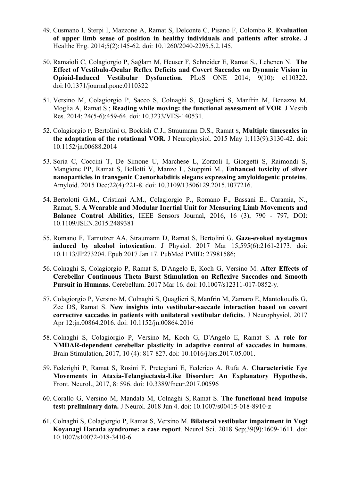- 49. Cusmano I, Sterpi I, Mazzone A, Ramat S, Delconte C, Pisano F, Colombo R. **Evaluation of upper limb sense of position in healthy individuals and patients after stroke. J**  Healthc Eng. 2014;5(2):145-62. doi: 10.1260/2040-2295.5.2.145.
- 50. Ramaioli C, Colagiorgio P, Sağlam M, Heuser F, Schneider E, Ramat S., Lehenen N. **The Effect of Vestibulo-Ocular Reflex Deficits and Covert Saccades on Dynamic Vision in Opioid-Induced Vestibular Dysfunction.** PLoS ONE 2014; 9(10): e110322. doi:10.1371/journal.pone.0110322
- 51. Versino M, Colagiorgio P, Sacco S, Colnaghi S, Quaglieri S, Manfrin M, Benazzo M, Moglia A, Ramat S.; **Reading while moving: the functional assessment of VOR**. J Vestib Res. 2014; 24(5-6):459-64. doi: 10.3233/VES-140531.
- 52. Colagiorgio P, Bertolini G, Bockish C.J., Straumann D.S., Ramat S, **Multiple timescales in the adaptation of the rotational VOR.** J Neurophysiol. 2015 May 1;113(9):3130-42. doi: 10.1152/jn.00688.2014
- 53. Soria C, Coccini T, De Simone U, Marchese L, Zorzoli I, Giorgetti S, Raimondi S, Mangione PP, Ramat S, Bellotti V, Manzo L, Stoppini M., **Enhanced toxicity of silver nanoparticles in transgenic Caenorhabditis elegans expressing amyloidogenic proteins**. Amyloid. 2015 Dec;22(4):221-8. doi: 10.3109/13506129.2015.1077216.
- 54. Bertolotti G.M., Cristiani A.M., Colagiorgio P., Romano F., Bassani E., Caramia, N., Ramat, S. **A Wearable and Modular Inertial Unit for Measuring Limb Movements and Balance Control Abilities**, IEEE Sensors Journal, 2016, 16 (3), 790 - 797, DOI: 10.1109/JSEN.2015.2489381
- 55. Romano F, Tarnutzer AA, Straumann D, Ramat S, Bertolini G. **Gaze-evoked nystagmus induced by alcohol intoxication**. J Physiol. 2017 Mar 15;595(6):2161-2173. doi: 10.1113/JP273204. Epub 2017 Jan 17. PubMed PMID: 27981586;
- 56. Colnaghi S, Colagiorgio P, Ramat S, D'Angelo E, Koch G, Versino M. **After Effects of Cerebellar Continuous Theta Burst Stimulation on Reflexive Saccades and Smooth Pursuit in Humans**. Cerebellum. 2017 Mar 16. doi: 10.1007/s12311-017-0852-y.
- 57. Colagiorgio P, Versino M, Colnaghi S, Quaglieri S, Manfrin M, Zamaro E, Mantokoudis G, Zee DS, Ramat S. **New insights into vestibular-saccade interaction based on covert corrective saccades in patients with unilateral vestibular deficits**. J Neurophysiol. 2017 Apr 12:jn.00864.2016. doi: 10.1152/jn.00864.2016
- 58. Colnaghi S, Colagiorgio P, Versino M, Koch G, D'Angelo E, Ramat S. **A role for NMDAR-dependent cerebellar plasticity in adaptive control of saccades in humans**, Brain Stimulation, 2017, 10 (4): 817-827. doi: 10.1016/j.brs.2017.05.001.
- 59. Federighi P, Ramat S, Rosini F, Pretegiani E, Federico A, Rufa A. **Characteristic Eye Movements in Ataxia-Telangiectasia-Like Disorder: An Explanatory Hypothesis**, Front. Neurol., 2017, 8: 596. doi: 10.3389/fneur.2017.00596
- 60. Corallo G, Versino M, Mandalà M, Colnaghi S, Ramat S. **The functional head impulse test: preliminary data.** J Neurol. 2018 Jun 4. doi: 10.1007/s00415-018-8910-z
- 61. Colnaghi S, Colagiorgio P, Ramat S, Versino M. **Bilateral vestibular impairment in Vogt Koyanagi Harada syndrome: a case report**. Neurol Sci. 2018 Sep;39(9):1609-1611. doi: 10.1007/s10072-018-3410-6.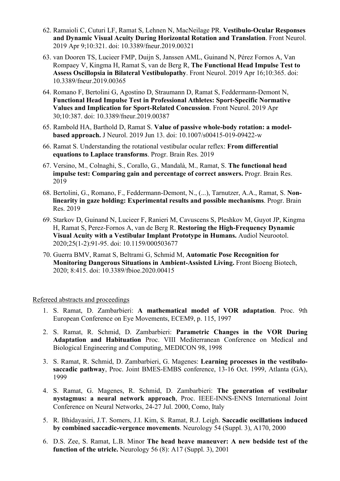- 62. Ramaioli C, Cuturi LF, Ramat S, Lehnen N, MacNeilage PR. **Vestibulo-Ocular Responses and Dynamic Visual Acuity During Horizontal Rotation and Translation**. Front Neurol. 2019 Apr 9;10:321. doi: 10.3389/fneur.2019.00321
- 63. van Dooren TS, Lucieer FMP, Duijn S, Janssen AML, Guinand N, Pérez Fornos A, Van Rompaey V, Kingma H, Ramat S, van de Berg R, **The Functional Head Impulse Test to Assess Oscillopsia in Bilateral Vestibulopathy**. Front Neurol. 2019 Apr 16;10:365. doi: 10.3389/fneur.2019.00365
- 64. Romano F, Bertolini G, Agostino D, Straumann D, Ramat S, Feddermann-Demont N, **Functional Head Impulse Test in Professional Athletes: Sport-Specific Normative Values and Implication for Sport-Related Concussion**. Front Neurol. 2019 Apr 30;10:387. doi: 10.3389/fneur.2019.00387
- 65. Rambold HA, Barthold D, Ramat S. **Value of passive whole-body rotation: a modelbased approach.** J Neurol. 2019 Jun 13. doi: 10.1007/s00415-019-09422-w
- 66. Ramat S. Understanding the rotational vestibular ocular reflex: **From differential equations to Laplace transforms**. Progr. Brain Res. 2019
- 67. Versino, M., Colnaghi, S., Corallo, G., Mandalà, M., Ramat, S. **The functional head impulse test: Comparing gain and percentage of correct answers.** Progr. Brain Res. 2019
- 68. Bertolini, G., Romano, F., Feddermann-Demont, N., (...), Tarnutzer, A.A., Ramat, S. **Nonlinearity in gaze holding: Experimental results and possible mechanisms**. Progr. Brain Res. 2019
- 69. Starkov D, Guinand N, Lucieer F, Ranieri M, Cavuscens S, Pleshkov M, Guyot JP, Kingma H, Ramat S, Perez-Fornos A, van de Berg R. **Restoring the High-Frequency Dynamic Visual Acuity with a Vestibular Implant Prototype in Humans.** Audiol Neurootol. 2020;25(1-2):91-95. doi: 10.1159/000503677
- 70. Guerra BMV, Ramat S, Beltrami G, Schmid M, **Automatic Pose Recognition for Monitoring Dangerous Situations in Ambient-Assisted Living.** Front Bioeng Biotech, 2020; 8:415. doi: 10.3389/fbioe.2020.00415

Refereed abstracts and proceedings

- 1. S. Ramat, D. Zambarbieri: **A mathematical model of VOR adaptation**. Proc. 9th European Conference on Eye Movements, ECEM9, p. 115, 1997
- 2. S. Ramat, R. Schmid, D. Zambarbieri: **Parametric Changes in the VOR During Adaptation and Habituation** Proc. VIII Mediterranean Conference on Medical and Biological Engineering and Computing, MEDICON 98, 1998
- 3. S. Ramat, R. Schmid, D. Zambarbieri, G. Magenes: **Learning processes in the vestibulosaccadic pathway**, Proc. Joint BMES-EMBS conference, 13-16 Oct. 1999, Atlanta (GA), 1999
- 4. S. Ramat, G. Magenes, R. Schmid, D. Zambarbieri: **The generation of vestibular nystagmus: a neural network approach**, Proc. IEEE-INNS-ENNS International Joint Conference on Neural Networks, 24-27 Jul. 2000, Como, Italy
- 5. R. Bhidayasiri, J.T. Somers, J.I. Kim, S. Ramat, R.J. Leigh. **Saccadic oscillations induced by combined saccadic-vergence movements**. Neurology 54 (Suppl. 3), A170, 2000
- 6. D.S. Zee, S. Ramat, L.B. Minor **The head heave maneuver: A new bedside test of the function of the utricle.** Neurology 56 (8): A17 (Suppl. 3), 2001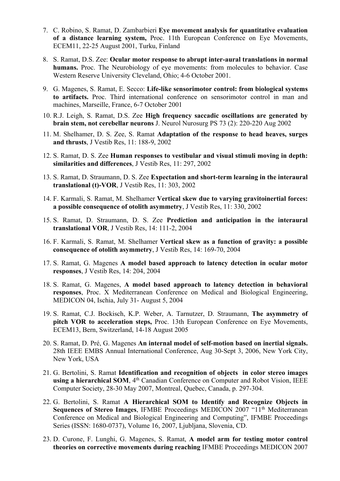- 7. C. Robino, S. Ramat, D. Zambarbieri **Eye movement analysis for quantitative evaluation of a distance learning system,** Proc. 11th European Conference on Eye Movements, ECEM11, 22-25 August 2001, Turku, Finland
- 8. S. Ramat, D.S. Zee: **Ocular motor response to abrupt inter-aural translations in normal humans.** Proc. The Neurobiology of eye movements: from molecules to behavior. Case Western Reserve University Cleveland, Ohio; 4-6 October 2001.
- 9. G. Magenes, S. Ramat, E. Secco: **Life-like sensorimotor control: from biological systems to artifacts.** Proc. Third international conference on sensorimotor control in man and machines, Marseille, France, 6-7 October 2001
- 10. R.J. Leigh, S. Ramat, D.S. Zee **High frequency saccadic oscillations are generated by brain stem, not cerebellar neurons** J. Neurol Nurosurg PS 73 (2): 220-220 Aug 2002
- 11. M. Shelhamer, D. S. Zee, S. Ramat **Adaptation of the response to head heaves, surges and thrusts**, J Vestib Res, 11: 188-9, 2002
- 12. S. Ramat, D. S. Zee **Human responses to vestibular and visual stimuli moving in depth: similarities and differences**, J Vestib Res, 11: 297, 2002
- 13. S. Ramat, D. Straumann, D. S. Zee **Expectation and short-term learning in the interaural translational (t)-VOR**, J Vestib Res, 11: 303, 2002
- 14. F. Karmali, S. Ramat, M. Shelhamer **Vertical skew due to varying gravitoinertial forces: a possible consequence of otolith asymmetry**, J Vestib Res, 11: 330, 2002
- 15. S. Ramat, D. Straumann, D. S. Zee **Prediction and anticipation in the interaural translational VOR**, J Vestib Res, 14: 111-2, 2004
- 16. F. Karmali, S. Ramat, M. Shelhamer **Vertical skew as a function of gravity: a possible consequence of otolith asymmetry**, J Vestib Res, 14: 169-70, 2004
- 17. S. Ramat, G. Magenes **A model based approach to latency detection in ocular motor responses**, J Vestib Res, 14: 204, 2004
- 18. S. Ramat, G. Magenes, **A model based approach to latency detection in behavioral responses**, Proc. X Mediterranean Conference on Medical and Biological Engineering, MEDICON 04, Ischia, July 31- August 5, 2004
- 19. S. Ramat, C.J. Bockisch, K.P. Weber, A. Tarnutzer, D. Straumann, **The asymmetry of pitch VOR to acceleration steps,** Proc. 13th European Conference on Eye Movements, ECEM13, Bern, Switzerland, 14-18 August 2005
- 20. S. Ramat, D. Pré, G. Magenes **An internal model of self-motion based on inertial signals.** 28th IEEE EMBS Annual International Conference, Aug 30-Sept 3, 2006, New York City, New York, USA
- 21. G. Bertolini, S. Ramat **Identification and recognition of objects in color stereo images**  using a hierarchical SOM, 4<sup>th</sup> Canadian Conference on Computer and Robot Vision, IEEE Computer Society, 28-30 May 2007, Montreal, Quebec, Canada, p. 297-304.
- 22. G. Bertolini, S. Ramat **A Hierarchical SOM to Identify and Recognize Objects in Sequences of Stereo Images, IFMBE Proceedings MEDICON 2007 "11<sup>th</sup> Mediterranean** Conference on Medical and Biological Engineering and Computing", IFMBE Proceedings Series (ISSN: 1680-0737), Volume 16, 2007, Ljubljana, Slovenia, CD.
- 23. D. Curone, F. Lunghi, G. Magenes, S. Ramat, **A model arm for testing motor control theories on corrective movements during reaching** IFMBE Proceedings MEDICON 2007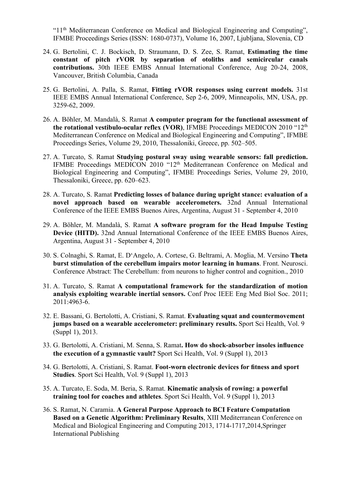"11th Mediterranean Conference on Medical and Biological Engineering and Computing", IFMBE Proceedings Series (ISSN: 1680-0737), Volume 16, 2007, Ljubljana, Slovenia, CD

- 24. G. Bertolini, C. J. Bockisch, D. Straumann, D. S. Zee, S. Ramat, **Estimating the time constant of pitch rVOR by separation of otoliths and semicircular canals contributions.** 30th IEEE EMBS Annual International Conference, Aug 20-24, 2008, Vancouver, British Columbia, Canada
- 25. G. Bertolini, A. Palla, S. Ramat, **Fitting rVOR responses using current models.** 31st IEEE EMBS Annual International Conference, Sep 2-6, 2009, Minneapolis, MN, USA, pp. 3259-62, 2009.
- 26. A. Böhler, M. Mandalà, S. Ramat **A computer program for the functional assessment of the rotational vestibulo-ocular reflex (VOR)**, IFMBE Proceedings MEDICON 2010 "12th Mediterranean Conference on Medical and Biological Engineering and Computing", IFMBE Proceedings Series, Volume 29, 2010, Thessaloniki, Greece, pp. 502–505.
- 27. A. Turcato, S. Ramat **Studying postural sway using wearable sensors: fall prediction.**  IFMBE Proceedings MEDICON 2010 "12<sup>th</sup> Mediterranean Conference on Medical and Biological Engineering and Computing", IFMBE Proceedings Series, Volume 29, 2010, Thessaloniki, Greece, pp. 620–623.
- 28. A. Turcato, S. Ramat **Predicting losses of balance during upright stance: evaluation of a novel approach based on wearable accelerometers.** 32nd Annual International Conference of the IEEE EMBS Buenos Aires, Argentina, August 31 - September 4, 2010
- 29. A. Böhler, M. Mandalà, S. Ramat **A software program for the Head Impulse Testing Device (HITD).** 32nd Annual International Conference of the IEEE EMBS Buenos Aires, Argentina, August 31 - September 4, 2010
- 30. S. Colnaghi, S. Ramat, E. D'Angelo, A. Cortese, G. Beltrami, A. Moglia, M. Versino **Theta burst stimulation of the cerebellum impairs motor learning in humans**. Front. Neurosci. Conference Abstract: The Cerebellum: from neurons to higher control and cognition., 2010
- 31. A. Turcato, S. Ramat **A computational framework for the standardization of motion analysis exploiting wearable inertial sensors.** Conf Proc IEEE Eng Med Biol Soc. 2011; 2011:4963-6.
- 32. E. Bassani, G. Bertolotti, A. Cristiani, S. Ramat. **Evaluating squat and countermovement jumps based on a wearable accelerometer: preliminary results.** Sport Sci Health, Vol. 9 (Suppl 1), 2013.
- 33. G. Bertolotti, A. Cristiani, M. Senna, S. Ramat**. How do shock-absorber insoles influence the execution of a gymnastic vault?** Sport Sci Health, Vol. 9 (Suppl 1), 2013
- 34. G. Bertolotti, A. Cristiani, S. Ramat. **Foot-worn electronic devices for fitness and sport Studies**. Sport Sci Health, Vol. 9 (Suppl 1), 2013
- 35. A. Turcato, E. Soda, M. Beria, S. Ramat. **Kinematic analysis of rowing: a powerful training tool for coaches and athletes**. Sport Sci Health, Vol. 9 (Suppl 1), 2013
- 36. S. Ramat, N. Caramia. **A General Purpose Approach to BCI Feature Computation Based on a Genetic Algorithm: Preliminary Results**, XIII Mediterranean Conference on Medical and Biological Engineering and Computing 2013, 1714-1717,2014,Springer International Publishing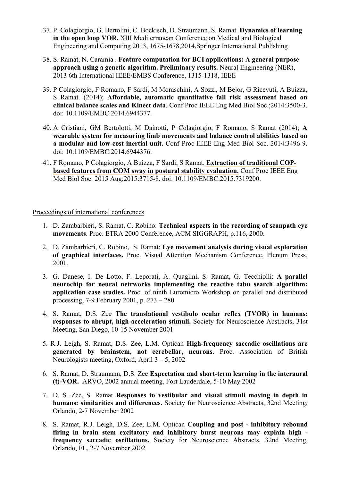- 37. P. Colagiorgio, G. Bertolini, C. Bockisch, D. Straumann, S. Ramat. **Dynamics of learning in the open loop VOR.** XIII Mediterranean Conference on Medical and Biological Engineering and Computing 2013, 1675-1678,2014,Springer International Publishing
- 38. S. Ramat, N. Caramia . **Feature computation for BCI applications: A general purpose approach using a genetic algorithm. Preliminary results.** Neural Engineering (NER), 2013 6th International IEEE/EMBS Conference, 1315-1318, IEEE
- 39. P Colagiorgio, F Romano, F Sardi, M Moraschini, A Sozzi, M Bejor, G Ricevuti, A Buizza, S Ramat. (2014); **Affordable, automatic quantitative fall risk assessment based on clinical balance scales and Kinect data**. Conf Proc IEEE Eng Med Biol Soc.;2014:3500-3. doi: 10.1109/EMBC.2014.6944377.
- 40. A Cristiani, GM Bertolotti, M Dainotti, P Colagiorgio, F Romano, S Ramat (2014); **A wearable system for measuring limb movements and balance control abilities based on a modular and low-cost inertial unit.** Conf Proc IEEE Eng Med Biol Soc. 2014:3496-9. doi: 10.1109/EMBC.2014.6944376.
- 41. F Romano, P Colagiorgio, A Buizza, F Sardi, S Ramat. **Extraction of traditional COPbased features from COM sway in postural stability evaluation.** Conf Proc IEEE Eng Med Biol Soc. 2015 Aug;2015:3715-8. doi: 10.1109/EMBC.2015.7319200.

Proceedings of international conferences

- 1. D. Zambarbieri, S. Ramat, C. Robino: **Technical aspects in the recording of scanpath eye movements**. Proc. ETRA 2000 Conference, ACM SIGGRAPH, p.116, 2000.
- 2. D. Zambarbieri, C. Robino, S. Ramat: **Eye movement analysis during visual exploration of graphical interfaces.** Proc. Visual Attention Mechanism Conference, Plenum Press, 2001.
- 3. G. Danese, I. De Lotto, F. Leporati, A. Quaglini, S. Ramat, G. Tecchiolli: **A parallel neurochip for neural netrworks implementing the reactive tabu search algorithm: application case studies.** Proc. of ninth Euromicro Workshop on parallel and distributed processing, 7-9 February 2001, p. 273 – 280
- 4. S. Ramat, D.S. Zee **The translational vestibulo ocular reflex (TVOR) in humans: responses to abrupt, high-acceleration stimuli.** Society for Neuroscience Abstracts, 31st Meeting, San Diego, 10-15 November 2001
- 5. R.J. Leigh, S. Ramat, D.S. Zee, L.M. Optican **High-frequency saccadic oscillations are generated by brainstem, not cerebellar, neurons.** Proc. Association of British Neurologists meeting, Oxford, April 3 – 5, 2002
- 6. S. Ramat, D. Straumann, D.S. Zee **Expectation and short-term learning in the interaural (t)-VOR.** ARVO, 2002 annual meeting, Fort Lauderdale, 5-10 May 2002
- 7. D. S. Zee, S. Ramat **Responses to vestibular and visual stimuli moving in depth in humans: similarities and differences.** Society for Neuroscience Abstracts, 32nd Meeting, Orlando, 2-7 November 2002
- 8. S. Ramat, R.J. Leigh, D.S. Zee, L.M. Optican **Coupling and post - inhibitory rebound firing in brain stem excitatory and inhibitory burst neurons may explain high frequency saccadic oscillations.** Society for Neuroscience Abstracts, 32nd Meeting, Orlando, FL, 2-7 November 2002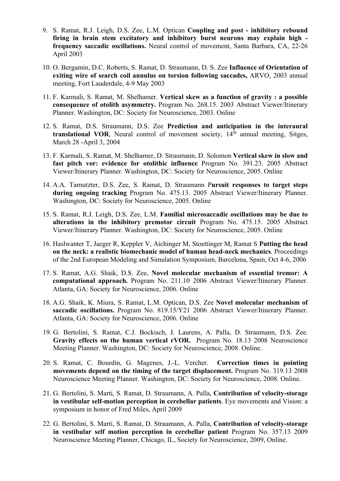- 9. S. Ramat, R.J. Leigh, D.S. Zee, L.M. Optican **Coupling and post - inhibitory rebound firing in brain stem excitatory and inhibitory burst neurons may explain high frequency saccadic oscillations.** Neural control of movement, Santa Barbara, CA, 22-26 April 2003
- 10. O. Bergamin, D.C. Roberts, S. Ramat, D. Straumann, D. S. Zee **Influence of Orientation of exiting wire of search coil annulus on torsion following saccades,** ARVO, 2003 annual meeting, Fort Lauderdale, 4-9 May 2003
- 11. F. Karmali, S. Ramat, M. Shelhamer. **Vertical skew as a function of gravity : a possible consequence of otolith asymmetry.** Program No. 268.15. 2003 Abstract Viewer/Itinerary Planner. Washington, DC: Society for Neuroscience, 2003. Online
- 12. S. Ramat, D.S. Straumann, D.S. Zee **Prediction and anticipation in the interaural**  translational VOR, Neural control of movement society, 14<sup>th</sup> annual meeting, Sitges, March 28 -April 3, 2004
- 13. F. Karmali, S. Ramat, M. Shelhamer, D. Straumann, D. Solomon **Vertical skew in slow and fast pitch vor: evidence for otolithic influence** Program No. 391.23. 2005 Abstract Viewer/Itinerary Planner. Washington, DC: Society for Neuroscience, 2005. Online
- 14. A.A. Tarnutzter, D.S. Zee, S. Ramat, D. Straumann P**ursuit responses to target steps during ongoing tracking** Program No. 475.13. 2005 Abstract Viewer/Itinerary Planner. Washington, DC: Society for Neuroscience, 2005. Online
- 15. S. Ramat, R.J. Leigh, D.S. Zee, L.M. **Familial microsaccadic oscillations may be due to alterations in the inhibitory premotor circuit** Program No. 475.15. 2005 Abstract Viewer/Itinerary Planner. Washington, DC: Society for Neuroscience, 2005. Online
- 16. Haslwanter T, Jaeger R, Keppler V, Aichinger M, Stoettinger M, Ramat S **Putting the head on the neck: a realistic biomechanic model of human head-neck mechanics**. Proceedings of the 2nd European Modeling and Simulation Symposium, Barcelona, Spain, Oct 4-6, 2006
- 17. S. Ramat, A.G. Shaik, D.S. Zee, **Novel molecular mechanism of essential tremor: A computational approach.** Program No. 211.10 2006 Abstract Viewer/Itinerary Planner. Atlanta, GA: Society for Neuroscience, 2006. Online
- 18. A.G. Shaik, K. Miura, S. Ramat, L.M. Optican, D.S. Zee **Novel molecular mechanism of saccadic oscillations.** Program No. 819.15/Y21 2006 Abstract Viewer/Itinerary Planner. Atlanta, GA: Society for Neuroscience, 2006. Online
- 19. G. Bertolini, S. Ramat, C.J. Bockisch, J. Laurens, A. Palla, D. Straumann, D.S. Zee. **Gravity effects on the human vertical rVOR.** Program No. 18.13 2008 Neuroscience Meeting Planner. Washington, DC: Society for Neuroscience, 2008. Online.
- 20. S. Ramat, C. Bourdin, G. Magenes, J.-L. Vercher. **Correction times in pointing movements depend on the timing of the target displacement.** Program No. 319.13 2008 Neuroscience Meeting Planner. Washington, DC: Society for Neuroscience, 2008. Online.
- 21. G. Bertolini, S. Marti, S. Ramat, D. Straumann, A. Palla, **Contribution of velocity-storage in vestibular self-motion perception in cerebellar patients**. Eye movements and Vision: a symposium in honor of Fred Miles, April 2009
- 22. G. Bertolini, S. Marti, S. Ramat, D. Straumann, A. Palla, **Contribution of velocity-storage in vestibular self motion perception in cerebellar patient** Program No. 357.13 2009 Neuroscience Meeting Planner, Chicago, IL, Society for Neuroscience, 2009, Online.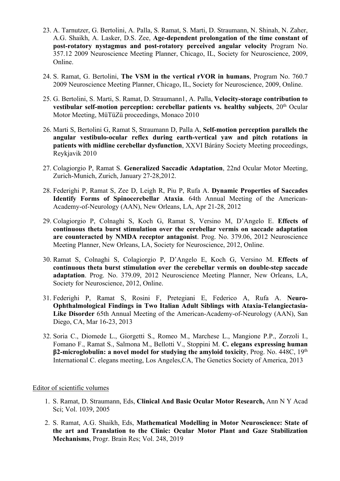- 23. A. Tarnutzer, G. Bertolini, A. Palla, S. Ramat, S. Marti, D. Straumann, N. Shinah, N. Zaher, A.G. Shaikh, A. Lasker, D.S. Zee, **Age-dependent prolongation of the time constant of post-rotatory nystagmus and post-rotatory perceived angular velocity** Program No. 357.12 2009 Neuroscience Meeting Planner, Chicago, IL, Society for Neuroscience, 2009, Online.
- 24. S. Ramat, G. Bertolini, **The VSM in the vertical rVOR in humans**, Program No. 760.7 2009 Neuroscience Meeting Planner, Chicago, IL, Society for Neuroscience, 2009, Online.
- 25. G. Bertolini, S. Marti, S. Ramat, D. Straumann1, A. Palla, **Velocity-storage contribution to vestibular self-motion perception: cerebellar patients vs. healthy subjects**, 20<sup>th</sup> Ocular Motor Meeting, MüTüZü proceedings, Monaco 2010
- 26. Marti S, Bertolini G, Ramat S, Straumann D, Palla A, **Self-motion perception parallels the angular vestibulo-ocular reflex during earth-vertical yaw and pitch rotations in patients with midline cerebellar dysfunction**, XXVI Bárány Society Meeting proceedings, Reykjavik 2010
- 27. Colagiorgio P, Ramat S. **Generalized Saccadic Adaptation**, 22nd Ocular Motor Meeting, Zurich-Munich, Zurich, January 27-28,2012.
- 28. Federighi P, Ramat S, Zee D, Leigh R, Piu P, Rufa A. **Dynamic Properties of Saccades Identify Forms of Spinocerebellar Ataxia**. 64th Annual Meeting of the American-Academy-of-Neurology (AAN), New Orleans, LA, Apr 21-28, 2012
- 29. Colagiorgio P, Colnaghi S, Koch G, Ramat S, Versino M, D'Angelo E. **Effects of continuous theta burst stimulation over the cerebellar vermis on saccade adaptation are counteracted by NMDA receptor antagonist**. Prog. No. 379.06, 2012 Neuroscience Meeting Planner, New Orleans, LA, Society for Neuroscience, 2012, Online.
- 30. Ramat S, Colnaghi S, Colagiorgio P, D'Angelo E, Koch G, Versino M. **Effects of continuous theta burst stimulation over the cerebellar vermis on double-step saccade adaptation**. Prog. No. 379.09, 2012 Neuroscience Meeting Planner, New Orleans, LA, Society for Neuroscience, 2012, Online.
- 31. Federighi P, Ramat S, Rosini F, Pretegiani E, Federico A, Rufa A. **Neuro-Ophthalmological Findings in Two Italian Adult Siblings with Ataxia-Telangiectasia-Like Disorder** 65th Annual Meeting of the American-Academy-of-Neurology (AAN), San Diego, CA, Mar 16-23, 2013
- 32. Soria C., Diomede L., Giorgetti S., Romeo M., Marchese L., Mangione P.P., Zorzoli I., Fomano F., Ramat S., Salmona M., Bellotti V., Stoppini M. **C. elegans expressing human β2-microglobulin: a novel model for studying the amyloid toxicity**, Prog. No. 448C, 19th International C. elegans meeting, Los Angeles,CA, The Genetics Society of America, 2013

#### Editor of scientific volumes

- 1. S. Ramat, D. Straumann, Eds, **Clinical And Basic Ocular Motor Research,** Ann N Y Acad Sci; Vol. 1039, 2005
- 2. S. Ramat, A.G. Shaikh, Eds, **Mathematical Modelling in Motor Neuroscience: State of the art and Translation to the Clinic: Ocular Motor Plant and Gaze Stabilization Mechanisms**, Progr. Brain Res; Vol. 248, 2019